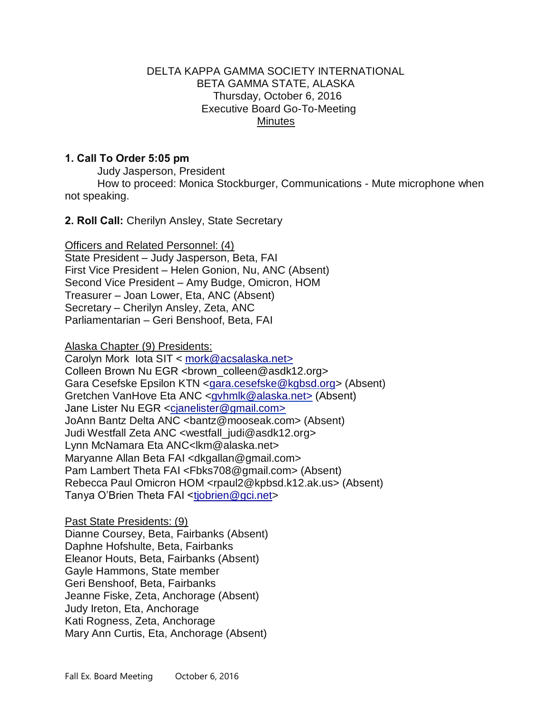### DELTA KAPPA GAMMA SOCIETY INTERNATIONAL BETA GAMMA STATE, ALASKA Thursday, October 6, 2016 Executive Board Go-To-Meeting Minutes

# 1. Call To Order 5:05 pm

Judy Jasperson, President

How to proceed: Monica Stockburger, Communications - Mute microphone when not speaking.

2. Roll Call: Cherilyn Ansley, State Secretary

Officers and Related Personnel: (4) State President – Judy Jasperson, Beta, FAI First Vice President – Helen Gonion, Nu, ANC (Absent) Second Vice President – Amy Budge, Omicron, HOM Treasurer – Joan Lower, Eta, ANC (Absent) Secretary – Cherilyn Ansley, Zeta, ANC Parliamentarian – Geri Benshoof, Beta, FAI

Alaska Chapter (9) Presidents:

Carolyn Mork Iota SIT < [mork@acsalaska.net>](mailto:mork@acsalaska.net) Colleen Brown Nu EGR <br/>brown\_colleen@asdk12.org> Gara Cesefske Epsilon KTN [<gara.cesefske@kgbsd.org>](mailto:gara.cesefske@kgbsd.org) (Absent) Gretchen VanHove Eta ANC [<gvhmlk@alaska.net>](mailto:gvhmlk@alaska.net) (Absent) Jane Lister Nu EGR <cjanelister@gmail.com> JoAnn Bantz Delta ANC [<bantz@mooseak.com>](mailto:bantz@mooseak.com) (Absent) Judi Westfall Zeta ANC <westfall\_judi@asdk12.org> Lynn McNamara Eta ANC[<lkm@alaska.net>](mailto:lkm@alaska.net) Maryanne Allan Beta FAI <dkgallan@gmail.com> Pam Lambert Theta FAI [<Fbks708@gmail.com>](mailto:Fbks708@gmail.com) (Absent) Rebecca Paul Omicron HOM <rpaul2@kpbsd.k12.ak.us> (Absent) Tanya O'Brien Theta FAI [<tjobrien@gci.net>](mailto:tjobrien@gci.net)

Past State Presidents: (9) Dianne Coursey, Beta, Fairbanks (Absent) Daphne Hofshulte, Beta, Fairbanks Eleanor Houts, Beta, Fairbanks (Absent) Gayle Hammons, State member Geri Benshoof, Beta, Fairbanks Jeanne Fiske, Zeta, Anchorage (Absent) Judy Ireton, Eta, Anchorage Kati Rogness, Zeta, Anchorage Mary Ann Curtis, Eta, Anchorage (Absent)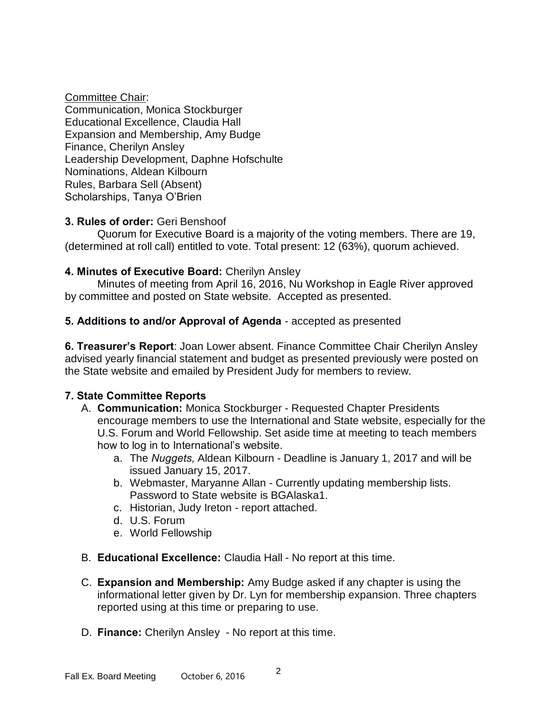#### Committee Chair:

Communication, Monica Stockburger Educational Excellence, Claudia Hall Expansion and Membership, Amy Budge Finance, Cherilyn Ansley Leadership Development, Daphne Hofschulte Nominations, Aldean Kilbourn Rules, Barbara Sell (Absent) Scholarships, Tanya O'Brien

# 3. Rules of order: Geri Benshoof

Quorum for Executive Board is a majority of the voting members. There are 19, (determined at roll call) entitled to vote. Total present: 12 (63%), quorum achieved.

# 4. Minutes of Executive Board: Cherilyn Ansley

 Minutes of meeting from April 16, 2016, Nu Workshop in Eagle River approved by committee and posted on State website. Accepted as presented.

# 5. Additions to and/or Approval of Agenda - accepted as presented

6. Treasurer's Report: Joan Lower absent. Finance Committee Chair Cherilyn Ansley advised yearly financial statement and budget as presented previously were posted on the State website and emailed by President Judy for members to review.

# 7. State Committee Reports

- A. **Communication:** Monica Stockburger Requested Chapter Presidents encourage members to use the International and State website, especially for the U.S. Forum and World Fellowship. Set aside time at meeting to teach members how to log in to International's website.
	- a. The *Nuggets,* Aldean Kilbourn Deadline is January 1, 2017 and will be issued January 15, 2017.
	- b. Webmaster, Maryanne Allan Currently updating membership lists. Password to State website is BGAlaska1.
	- c. Historian, Judy Ireton report attached.
	- d. U.S. Forum
	- e. World Fellowship
- B. Educational Excellence: Claudia Hall No report at this time.
- C. Expansion and Membership: Amy Budge asked if any chapter is using the informational letter given by Dr. Lyn for membership expansion. Three chapters reported using at this time or preparing to use.
- D. Finance: Cherilyn Ansley No report at this time.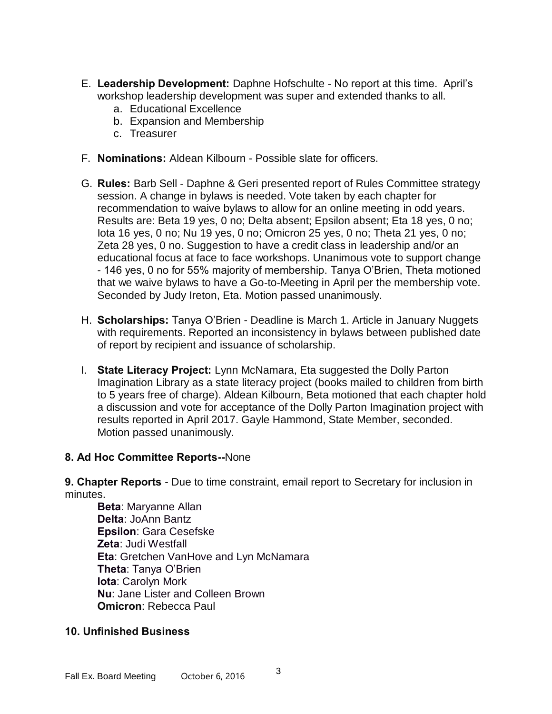- E. Leadership Development: Daphne Hofschulte No report at this time. April's workshop leadership development was super and extended thanks to all.
	- a. Educational Excellence
	- b. Expansion and Membership
	- c. Treasurer
- F. Nominations: Aldean Kilbourn Possible slate for officers.
- G. Rules: Barb Sell Daphne & Geri presented report of Rules Committee strategy session. A change in bylaws is needed. Vote taken by each chapter for recommendation to waive bylaws to allow for an online meeting in odd years. Results are: Beta 19 yes, 0 no; Delta absent; Epsilon absent; Eta 18 yes, 0 no; Iota 16 yes, 0 no; Nu 19 yes, 0 no; Omicron 25 yes, 0 no; Theta 21 yes, 0 no; Zeta 28 yes, 0 no. Suggestion to have a credit class in leadership and/or an educational focus at face to face workshops. Unanimous vote to support change - 146 yes, 0 no for 55% majority of membership. Tanya O'Brien, Theta motioned that we waive bylaws to have a Go-to-Meeting in April per the membership vote. Seconded by Judy Ireton, Eta. Motion passed unanimously.
- H. **Scholarships:** Tanya O'Brien Deadline is March 1. Article in January Nuggets with requirements. Reported an inconsistency in bylaws between published date of report by recipient and issuance of scholarship.
- I. State Literacy Project: Lynn McNamara, Eta suggested the Dolly Parton Imagination Library as a state literacy project (books mailed to children from birth to 5 years free of charge). Aldean Kilbourn, Beta motioned that each chapter hold a discussion and vote for acceptance of the Dolly Parton Imagination project with results reported in April 2017. Gayle Hammond, State Member, seconded. Motion passed unanimously.

#### 8. Ad Hoc Committee Reports--None

9. Chapter Reports - Due to time constraint, email report to Secretary for inclusion in minutes.

Beta: Maryanne Allan Delta: JoAnn Bantz Epsilon: Gara Cesefske Zeta: Judi Westfall Eta: Gretchen VanHove and Lyn McNamara Theta: Tanya O'Brien Iota: Carolyn Mork Nu: Jane Lister and Colleen Brown Omicron: Rebecca Paul

# 10. Unfinished Business